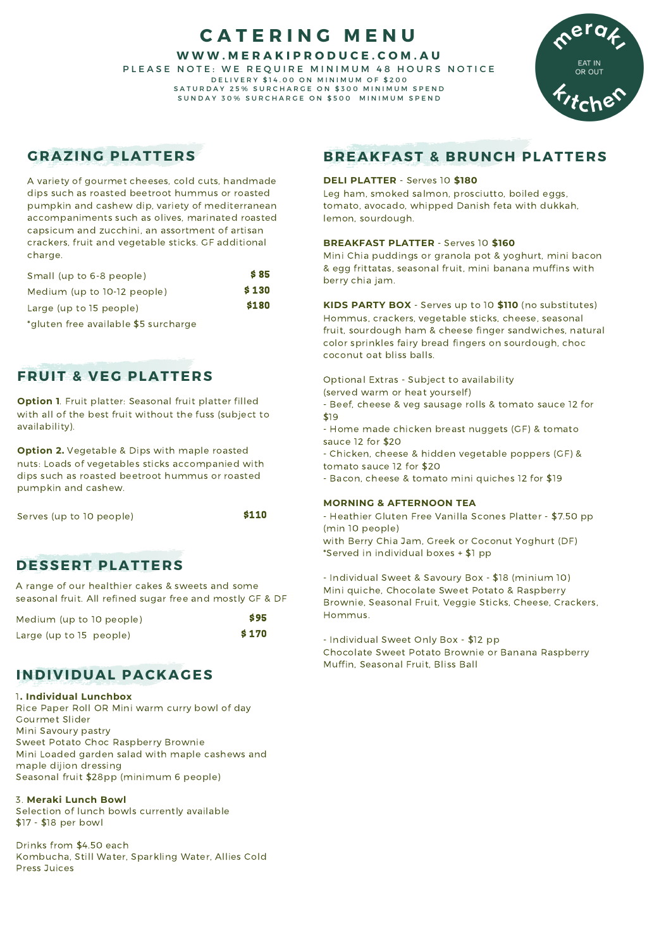# **C A T E R I N G M E N U**

**W W W . M E R A K I P R O D U C E . C O M . A U**

PLEASE NOTE: WE REQUIRE MINIMUM 48 HOURS NOTICE D E L I V E R Y \$ 14.00 ON M IN I M U M O F \$ 200 SATURDAY 25% SURCHARGE ON \$300 MINIMUM SPEND SUNDAY 30% SURCHARGE ON \$500 MINIMUM SPEND



# **GRAZING PLATTERS**

A variety of gourmet cheeses, cold cuts, handmade dips such as roasted beetroot hummus or roasted pumpkin and cashew dip, variety of mediterranean accompaniments such as olives, marinated roasted capsicum and zucchini, an assortment of artisan crackers, fruit and vegetable sticks. GF additional charge.

| Small (up to 6-8 people)                  | <b>S</b> 85 |
|-------------------------------------------|-------------|
| Medium (up to 10-12 people)               | \$130       |
| Large (up to 15 people)                   | \$180       |
| $*$ aluton froq available $*$ E surchargo |             |

'gluten free available \$5 surcharge

# **FRUIT & VEG PLATTERS**

**Option 1**. Fruit platter: Seasonal fruit platter filled with all of the best fruit without the fuss (subject to availability).

**Option 2.** Vegetable & Dips with maple roasted nuts: Loads of vegetables sticks accompanied with dips such as roasted beetroot hummus or roasted pumpkin and cashew.

| Serves (up to 10 people) | \$110 |
|--------------------------|-------|
|                          |       |

## **DESSERT PLATTERS**

A range of our healthier cakes & sweets and some seasonal fruit. All refined sugar free and mostly GF & DF

| Medium (up to 10 people) | <b>S95</b> |
|--------------------------|------------|
| Large (up to 15 people)  | \$170      |

# **INDIVIDUAL PACKAGES**

### 1**. Individual Lunchbox**

Rice Paper Roll OR Mini warm curry bowl of day Gourmet Slider Mini Savoury pastry Sweet Potato Choc Raspberry Brownie Mini Loaded garden salad with maple cashews and maple dijion dressing Seasonal fruit \$28pp (minimum 6 people)

## 3. **Meraki Lunch Bowl**

Selection of lunch bowls currently available \$17 - \$18 per bowl

Drinks from \$4.50 each Kombucha, Still Water, Sparkling Water, Allies Cold Press Juices

# **BREAKFAST & BRUNCH PLATTERS**

## **DELI PLATTER** - Serves 10 **\$180**

Leg ham, smoked salmon, prosciutto, boiled eggs, tomato, avocado, whipped Danish feta with dukkah, lemon, sourdough.

### **BREAKFAST PLATTER** - Serves 10 **\$160**

Mini Chia puddings or granola pot & yoghurt, mini bacon & egg frittatas, seasonal fruit, mini banana muffins with berry chia jam.

**KIDS PARTY BOX** - Serves up to 10 **\$110** (no substitutes) Hommus, crackers, vegetable sticks, cheese, seasonal fruit, sourdough ham & cheese finger sandwiches, natural color sprinkles fairy bread fingers on sourdough, choc coconut oat bliss balls.

Optional Extras - Subject to availability

- (served warm or heat yourself)
- Beef, cheese & veg sausage rolls & tomato sauce 12 for \$19
- Home made chicken breast nuggets (GF) & tomato sauce 12 for \$20
- Chicken, cheese & hidden vegetable poppers (GF) & tomato sauce 12 for \$20
- Bacon, cheese & tomato mini quiches 12 for \$19

## **MORNING & AFTERNOON TEA**

- Heathier Gluten Free Vanilla Scones Platter - \$7.50 pp (min 10 people) with Berry Chia Jam, Greek or Coconut Yoghurt (DF) \*Served in individual boxes + \$1 pp

- Individual Sweet & Savoury Box - \$18 (minium 10) Mini quiche, Chocolate Sweet Potato & Raspberry Brownie, Seasonal Fruit, Veggie Sticks, Cheese, Crackers, Hommus.

- Individual Sweet Only Box - \$12 pp Chocolate Sweet Potato Brownie or Banana Raspberry Muffin, Seasonal Fruit, Bliss Ball